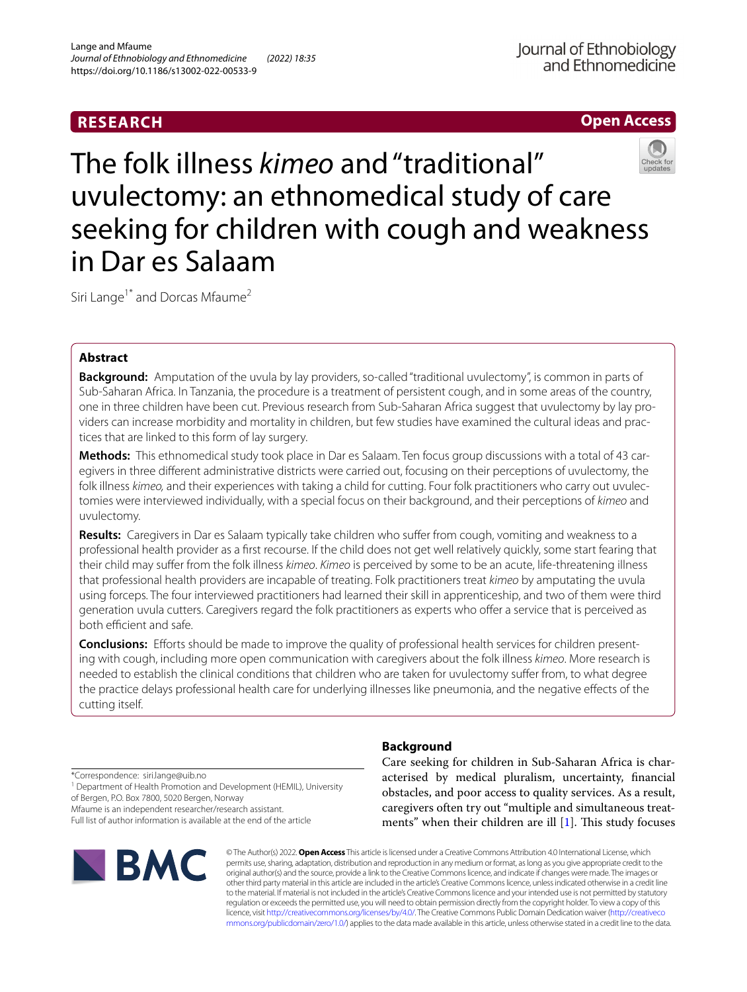## **RESEARCH**



# The folk illness *kimeo* and "traditional" uvulectomy: an ethnomedical study of care seeking for children with cough and weakness in Dar es Salaam

Siri Lange<sup>1\*</sup> and Dorcas Mfaume<sup>2</sup>

## **Abstract**

**Background:** Amputation of the uvula by lay providers, so-called "traditional uvulectomy", is common in parts of Sub-Saharan Africa. In Tanzania, the procedure is a treatment of persistent cough, and in some areas of the country, one in three children have been cut. Previous research from Sub-Saharan Africa suggest that uvulectomy by lay providers can increase morbidity and mortality in children, but few studies have examined the cultural ideas and practices that are linked to this form of lay surgery.

**Methods:** This ethnomedical study took place in Dar es Salaam. Ten focus group discussions with a total of 43 caregivers in three diferent administrative districts were carried out, focusing on their perceptions of uvulectomy, the folk illness *kimeo,* and their experiences with taking a child for cutting. Four folk practitioners who carry out uvulectomies were interviewed individually, with a special focus on their background, and their perceptions of *kimeo* and uvulectomy.

**Results:** Caregivers in Dar es Salaam typically take children who sufer from cough, vomiting and weakness to a professional health provider as a frst recourse. If the child does not get well relatively quickly, some start fearing that their child may sufer from the folk illness *kimeo*. *Kimeo* is perceived by some to be an acute, life-threatening illness that professional health providers are incapable of treating. Folk practitioners treat *kimeo* by amputating the uvula using forceps. The four interviewed practitioners had learned their skill in apprenticeship, and two of them were third generation uvula cutters. Caregivers regard the folk practitioners as experts who ofer a service that is perceived as both efficient and safe.

**Conclusions:** Eforts should be made to improve the quality of professional health services for children presenting with cough, including more open communication with caregivers about the folk illness *kimeo*. More research is needed to establish the clinical conditions that children who are taken for uvulectomy sufer from, to what degree the practice delays professional health care for underlying illnesses like pneumonia, and the negative efects of the cutting itself.

**Background**

\*Correspondence: siri.lange@uib.no

<sup>1</sup> Department of Health Promotion and Development (HEMIL), University of Bergen, P.O. Box 7800, 5020 Bergen, Norway

Mfaume is an independent researcher/research assistant.

Full list of author information is available at the end of the article



Care seeking for children in Sub-Saharan Africa is characterised by medical pluralism, uncertainty, fnancial obstacles, and poor access to quality services. As a result, caregivers often try out "multiple and simultaneous treatments" when their children are ill  $[1]$  $[1]$ . This study focuses

© The Author(s) 2022. **Open Access** This article is licensed under a Creative Commons Attribution 4.0 International License, which permits use, sharing, adaptation, distribution and reproduction in any medium or format, as long as you give appropriate credit to the original author(s) and the source, provide a link to the Creative Commons licence, and indicate if changes were made. The images or other third party material in this article are included in the article's Creative Commons licence, unless indicated otherwise in a credit line to the material. If material is not included in the article's Creative Commons licence and your intended use is not permitted by statutory regulation or exceeds the permitted use, you will need to obtain permission directly from the copyright holder. To view a copy of this licence, visit [http://creativecommons.org/licenses/by/4.0/.](http://creativecommons.org/licenses/by/4.0/) The Creative Commons Public Domain Dedication waiver ([http://creativeco](http://creativecommons.org/publicdomain/zero/1.0/) [mmons.org/publicdomain/zero/1.0/](http://creativecommons.org/publicdomain/zero/1.0/)) applies to the data made available in this article, unless otherwise stated in a credit line to the data.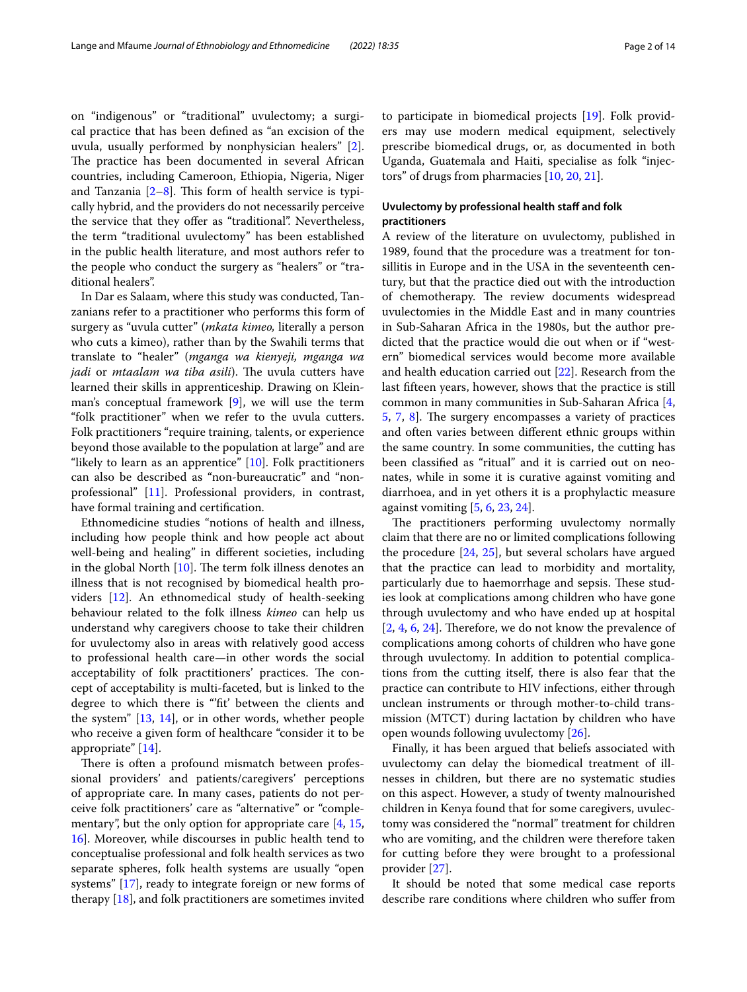on "indigenous" or "traditional" uvulectomy; a surgical practice that has been defned as "an excision of the uvula, usually performed by nonphysician healers" [\[2](#page-12-1)]. The practice has been documented in several African countries, including Cameroon, Ethiopia, Nigeria, Niger and Tanzania  $[2-8]$  $[2-8]$ . This form of health service is typically hybrid, and the providers do not necessarily perceive the service that they offer as "traditional". Nevertheless, the term "traditional uvulectomy" has been established in the public health literature, and most authors refer to the people who conduct the surgery as "healers" or "traditional healers".

In Dar es Salaam, where this study was conducted, Tanzanians refer to a practitioner who performs this form of surgery as "uvula cutter" (*mkata kimeo,* literally a person who cuts a kimeo), rather than by the Swahili terms that translate to "healer" (*mganga wa kienyeji, mganga wa jadi* or *mtaalam wa tiba asili*). The uvula cutters have learned their skills in apprenticeship. Drawing on Kleinman's conceptual framework [[9](#page-12-3)], we will use the term "folk practitioner" when we refer to the uvula cutters. Folk practitioners "require training, talents, or experience beyond those available to the population at large" and are "likely to learn as an apprentice" [[10\]](#page-12-4). Folk practitioners can also be described as "non-bureaucratic" and "nonprofessional" [\[11](#page-12-5)]. Professional providers, in contrast, have formal training and certifcation.

Ethnomedicine studies "notions of health and illness, including how people think and how people act about well-being and healing" in diferent societies, including in the global North  $[10]$  $[10]$  $[10]$ . The term folk illness denotes an illness that is not recognised by biomedical health providers [[12\]](#page-12-6). An ethnomedical study of health-seeking behaviour related to the folk illness *kimeo* can help us understand why caregivers choose to take their children for uvulectomy also in areas with relatively good access to professional health care—in other words the social acceptability of folk practitioners' practices. The concept of acceptability is multi-faceted, but is linked to the degree to which there is "'ft' between the clients and the system" [\[13](#page-12-7), [14\]](#page-12-8), or in other words, whether people who receive a given form of healthcare "consider it to be appropriate" [\[14](#page-12-8)].

There is often a profound mismatch between professional providers' and patients/caregivers' perceptions of appropriate care. In many cases, patients do not perceive folk practitioners' care as "alternative" or "complementary", but the only option for appropriate care  $[4, 15, 15]$  $[4, 15, 15]$  $[4, 15, 15]$  $[4, 15, 15]$  $[4, 15, 15]$ [16\]](#page-12-11). Moreover, while discourses in public health tend to conceptualise professional and folk health services as two separate spheres, folk health systems are usually "open systems" [\[17](#page-12-12)], ready to integrate foreign or new forms of therapy [\[18\]](#page-12-13), and folk practitioners are sometimes invited to participate in biomedical projects [\[19](#page-12-14)]. Folk providers may use modern medical equipment, selectively prescribe biomedical drugs, or, as documented in both Uganda, Guatemala and Haiti, specialise as folk "injectors" of drugs from pharmacies [\[10](#page-12-4), [20,](#page-12-15) [21\]](#page-12-16).

## **Uvulectomy by professional health staff and folk practitioners**

A review of the literature on uvulectomy, published in 1989, found that the procedure was a treatment for tonsillitis in Europe and in the USA in the seventeenth century, but that the practice died out with the introduction of chemotherapy. The review documents widespread uvulectomies in the Middle East and in many countries in Sub-Saharan Africa in the 1980s, but the author predicted that the practice would die out when or if "western" biomedical services would become more available and health education carried out [\[22](#page-13-0)]. Research from the last ffteen years, however, shows that the practice is still common in many communities in Sub-Saharan Africa [\[4](#page-12-9), [5,](#page-12-17) [7](#page-12-18), [8](#page-12-2)]. The surgery encompasses a variety of practices and often varies between diferent ethnic groups within the same country. In some communities, the cutting has been classifed as "ritual" and it is carried out on neonates, while in some it is curative against vomiting and diarrhoea, and in yet others it is a prophylactic measure against vomiting [[5,](#page-12-17) [6](#page-12-19), [23,](#page-13-1) [24](#page-13-2)].

The practitioners performing uvulectomy normally claim that there are no or limited complications following the procedure [\[24](#page-13-2), [25\]](#page-13-3), but several scholars have argued that the practice can lead to morbidity and mortality, particularly due to haemorrhage and sepsis. These studies look at complications among children who have gone through uvulectomy and who have ended up at hospital  $[2, 4, 6, 24]$  $[2, 4, 6, 24]$  $[2, 4, 6, 24]$  $[2, 4, 6, 24]$  $[2, 4, 6, 24]$  $[2, 4, 6, 24]$  $[2, 4, 6, 24]$  $[2, 4, 6, 24]$ . Therefore, we do not know the prevalence of complications among cohorts of children who have gone through uvulectomy. In addition to potential complications from the cutting itself, there is also fear that the practice can contribute to HIV infections, either through unclean instruments or through mother-to-child transmission (MTCT) during lactation by children who have open wounds following uvulectomy [[26](#page-13-4)].

Finally, it has been argued that beliefs associated with uvulectomy can delay the biomedical treatment of illnesses in children, but there are no systematic studies on this aspect. However, a study of twenty malnourished children in Kenya found that for some caregivers, uvulectomy was considered the "normal" treatment for children who are vomiting, and the children were therefore taken for cutting before they were brought to a professional provider [\[27\]](#page-13-5).

It should be noted that some medical case reports describe rare conditions where children who sufer from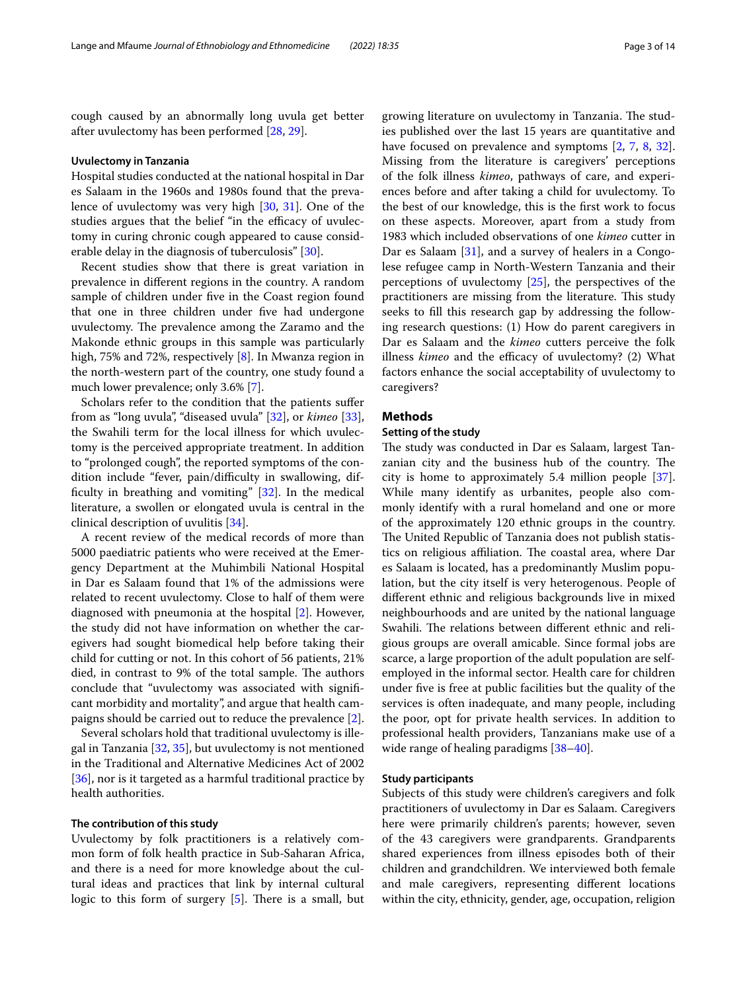cough caused by an abnormally long uvula get better after uvulectomy has been performed [\[28](#page-13-6), [29\]](#page-13-7).

## **Uvulectomy in Tanzania**

Hospital studies conducted at the national hospital in Dar es Salaam in the 1960s and 1980s found that the prevalence of uvulectomy was very high [\[30,](#page-13-8) [31\]](#page-13-9). One of the studies argues that the belief "in the efficacy of uvulectomy in curing chronic cough appeared to cause considerable delay in the diagnosis of tuberculosis" [[30\]](#page-13-8).

Recent studies show that there is great variation in prevalence in diferent regions in the country. A random sample of children under fve in the Coast region found that one in three children under fve had undergone uvulectomy. The prevalence among the Zaramo and the Makonde ethnic groups in this sample was particularly high, 75% and 72%, respectively [\[8](#page-12-2)]. In Mwanza region in the north-western part of the country, one study found a much lower prevalence; only 3.6% [\[7](#page-12-18)].

Scholars refer to the condition that the patients sufer from as "long uvula", "diseased uvula" [\[32](#page-13-10)], or *kimeo* [\[33](#page-13-11)], the Swahili term for the local illness for which uvulectomy is the perceived appropriate treatment. In addition to "prolonged cough", the reported symptoms of the condition include "fever, pain/difficulty in swallowing, difficulty in breathing and vomiting"  $[32]$  $[32]$ . In the medical literature, a swollen or elongated uvula is central in the clinical description of uvulitis [\[34\]](#page-13-12).

A recent review of the medical records of more than 5000 paediatric patients who were received at the Emergency Department at the Muhimbili National Hospital in Dar es Salaam found that 1% of the admissions were related to recent uvulectomy. Close to half of them were diagnosed with pneumonia at the hospital [[2](#page-12-1)]. However, the study did not have information on whether the caregivers had sought biomedical help before taking their child for cutting or not. In this cohort of 56 patients, 21% died, in contrast to 9% of the total sample. The authors conclude that "uvulectomy was associated with signifcant morbidity and mortality", and argue that health campaigns should be carried out to reduce the prevalence [\[2](#page-12-1)].

Several scholars hold that traditional uvulectomy is illegal in Tanzania [[32](#page-13-10), [35\]](#page-13-13), but uvulectomy is not mentioned in the Traditional and Alternative Medicines Act of 2002 [[36\]](#page-13-14), nor is it targeted as a harmful traditional practice by health authorities.

#### **The contribution of this study**

Uvulectomy by folk practitioners is a relatively common form of folk health practice in Sub-Saharan Africa, and there is a need for more knowledge about the cultural ideas and practices that link by internal cultural logic to this form of surgery  $[5]$ . There is a small, but

growing literature on uvulectomy in Tanzania. The studies published over the last 15 years are quantitative and have focused on prevalence and symptoms [\[2](#page-12-1), [7,](#page-12-18) [8,](#page-12-2) [32](#page-13-10)]. Missing from the literature is caregivers' perceptions of the folk illness *kimeo*, pathways of care, and experiences before and after taking a child for uvulectomy. To the best of our knowledge, this is the frst work to focus on these aspects. Moreover, apart from a study from 1983 which included observations of one *kimeo* cutter in Dar es Salaam [[31](#page-13-9)], and a survey of healers in a Congolese refugee camp in North-Western Tanzania and their perceptions of uvulectomy [\[25](#page-13-3)], the perspectives of the practitioners are missing from the literature. This study seeks to fll this research gap by addressing the following research questions: (1) How do parent caregivers in Dar es Salaam and the *kimeo* cutters perceive the folk illness *kimeo* and the efficacy of uvulectomy? (2) What factors enhance the social acceptability of uvulectomy to caregivers?

## **Methods**

## **Setting of the study**

The study was conducted in Dar es Salaam, largest Tanzanian city and the business hub of the country. The city is home to approximately 5.4 million people [\[37](#page-13-15)]. While many identify as urbanites, people also commonly identify with a rural homeland and one or more of the approximately 120 ethnic groups in the country. The United Republic of Tanzania does not publish statistics on religious affiliation. The coastal area, where Dar es Salaam is located, has a predominantly Muslim population, but the city itself is very heterogenous. People of diferent ethnic and religious backgrounds live in mixed neighbourhoods and are united by the national language Swahili. The relations between different ethnic and religious groups are overall amicable. Since formal jobs are scarce, a large proportion of the adult population are selfemployed in the informal sector. Health care for children under fve is free at public facilities but the quality of the services is often inadequate, and many people, including the poor, opt for private health services. In addition to professional health providers, Tanzanians make use of a wide range of healing paradigms [\[38](#page-13-16)[–40\]](#page-13-17).

#### **Study participants**

Subjects of this study were children's caregivers and folk practitioners of uvulectomy in Dar es Salaam. Caregivers here were primarily children's parents; however, seven of the 43 caregivers were grandparents. Grandparents shared experiences from illness episodes both of their children and grandchildren. We interviewed both female and male caregivers, representing diferent locations within the city, ethnicity, gender, age, occupation, religion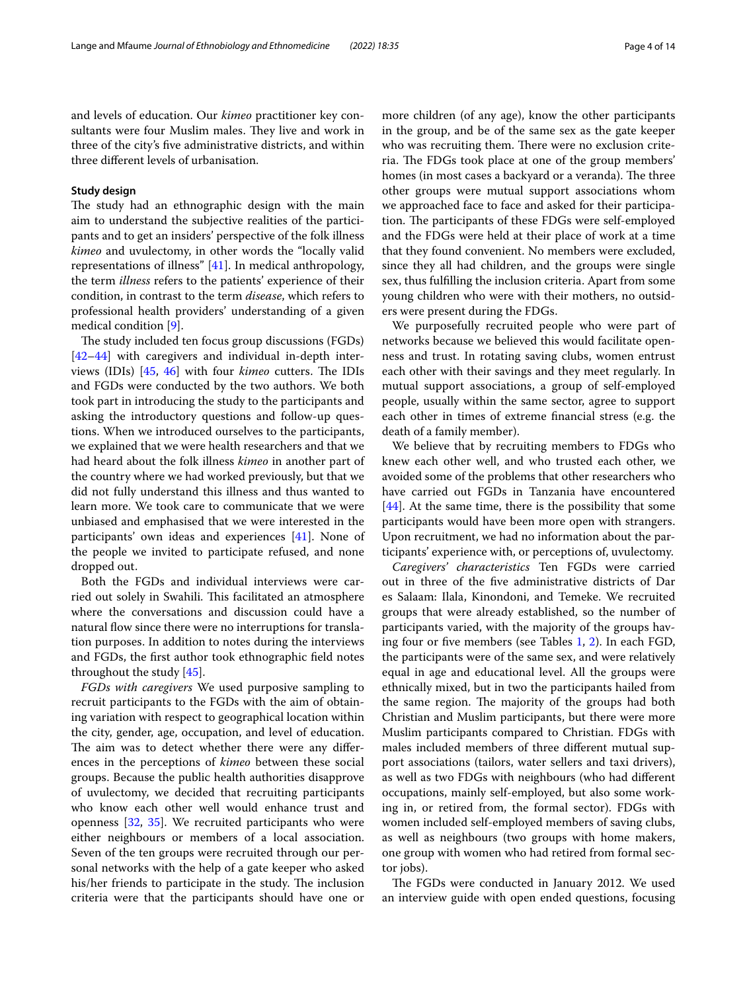and levels of education. Our *kimeo* practitioner key consultants were four Muslim males. They live and work in three of the city's fve administrative districts, and within three diferent levels of urbanisation.

#### **Study design**

The study had an ethnographic design with the main aim to understand the subjective realities of the participants and to get an insiders' perspective of the folk illness *kimeo* and uvulectomy, in other words the "locally valid representations of illness" [[41\]](#page-13-18). In medical anthropology, the term *illness* refers to the patients' experience of their condition, in contrast to the term *disease*, which refers to professional health providers' understanding of a given medical condition [\[9](#page-12-3)].

The study included ten focus group discussions (FGDs) [[42–](#page-13-19)[44](#page-13-20)] with caregivers and individual in-depth inter-views (IDIs) [\[45](#page-13-21), [46](#page-13-22)] with four *kimeo* cutters. The IDIs and FGDs were conducted by the two authors. We both took part in introducing the study to the participants and asking the introductory questions and follow-up questions. When we introduced ourselves to the participants, we explained that we were health researchers and that we had heard about the folk illness *kimeo* in another part of the country where we had worked previously, but that we did not fully understand this illness and thus wanted to learn more. We took care to communicate that we were unbiased and emphasised that we were interested in the participants' own ideas and experiences [\[41](#page-13-18)]. None of the people we invited to participate refused, and none dropped out.

Both the FGDs and individual interviews were carried out solely in Swahili. This facilitated an atmosphere where the conversations and discussion could have a natural flow since there were no interruptions for translation purposes. In addition to notes during the interviews and FGDs, the frst author took ethnographic feld notes throughout the study [[45](#page-13-21)].

*FGDs with caregivers* We used purposive sampling to recruit participants to the FGDs with the aim of obtaining variation with respect to geographical location within the city, gender, age, occupation, and level of education. The aim was to detect whether there were any differences in the perceptions of *kimeo* between these social groups. Because the public health authorities disapprove of uvulectomy, we decided that recruiting participants who know each other well would enhance trust and openness [[32,](#page-13-10) [35\]](#page-13-13). We recruited participants who were either neighbours or members of a local association. Seven of the ten groups were recruited through our personal networks with the help of a gate keeper who asked his/her friends to participate in the study. The inclusion criteria were that the participants should have one or more children (of any age), know the other participants in the group, and be of the same sex as the gate keeper who was recruiting them. There were no exclusion criteria. The FDGs took place at one of the group members' homes (in most cases a backyard or a veranda). The three other groups were mutual support associations whom we approached face to face and asked for their participation. The participants of these FDGs were self-employed and the FDGs were held at their place of work at a time that they found convenient. No members were excluded, since they all had children, and the groups were single sex, thus fulflling the inclusion criteria. Apart from some young children who were with their mothers, no outsiders were present during the FDGs.

We purposefully recruited people who were part of networks because we believed this would facilitate openness and trust. In rotating saving clubs, women entrust each other with their savings and they meet regularly. In mutual support associations, a group of self-employed people, usually within the same sector, agree to support each other in times of extreme fnancial stress (e.g. the death of a family member).

We believe that by recruiting members to FDGs who knew each other well, and who trusted each other, we avoided some of the problems that other researchers who have carried out FGDs in Tanzania have encountered  $[44]$  $[44]$ . At the same time, there is the possibility that some participants would have been more open with strangers. Upon recruitment, we had no information about the participants' experience with, or perceptions of, uvulectomy.

*Caregivers' characteristics* Ten FGDs were carried out in three of the fve administrative districts of Dar es Salaam: Ilala, Kinondoni, and Temeke. We recruited groups that were already established, so the number of participants varied, with the majority of the groups having four or fve members (see Tables [1,](#page-4-0) [2\)](#page-4-1). In each FGD, the participants were of the same sex, and were relatively equal in age and educational level. All the groups were ethnically mixed, but in two the participants hailed from the same region. The majority of the groups had both Christian and Muslim participants, but there were more Muslim participants compared to Christian. FDGs with males included members of three diferent mutual support associations (tailors, water sellers and taxi drivers), as well as two FDGs with neighbours (who had diferent occupations, mainly self-employed, but also some working in, or retired from, the formal sector). FDGs with women included self-employed members of saving clubs, as well as neighbours (two groups with home makers, one group with women who had retired from formal sector jobs).

The FGDs were conducted in January 2012. We used an interview guide with open ended questions, focusing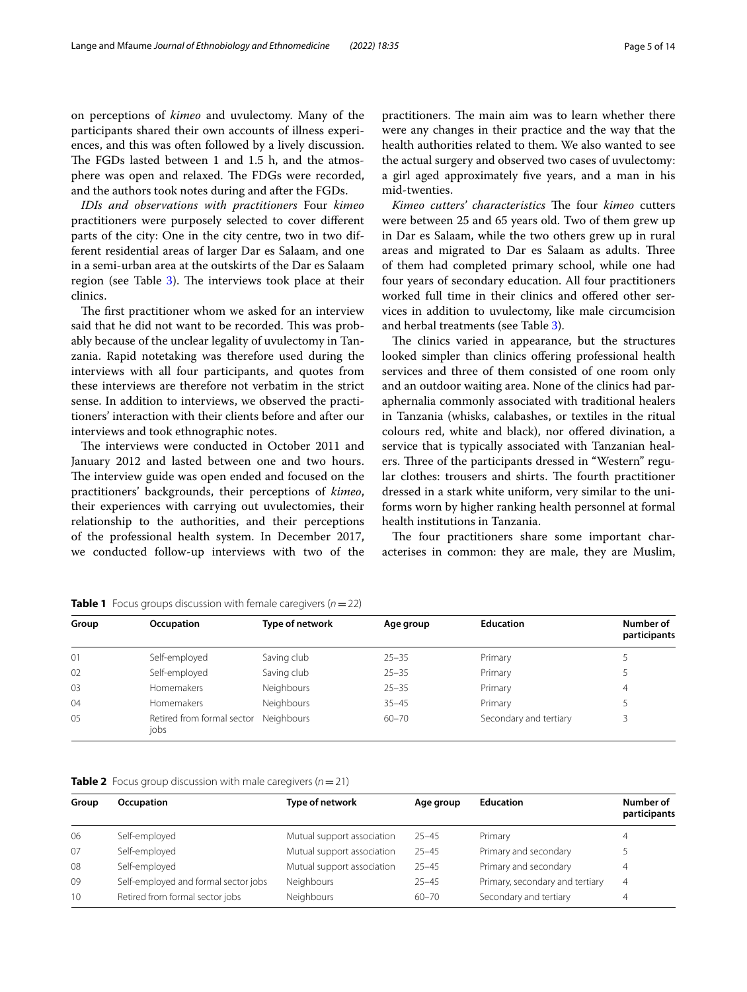on perceptions of *kimeo* and uvulectomy. Many of the participants shared their own accounts of illness experiences, and this was often followed by a lively discussion. The FGDs lasted between 1 and 1.5 h, and the atmosphere was open and relaxed. The FDGs were recorded, and the authors took notes during and after the FGDs.

*IDIs and observations with practitioners* Four *kimeo* practitioners were purposely selected to cover diferent parts of the city: One in the city centre, two in two different residential areas of larger Dar es Salaam, and one in a semi-urban area at the outskirts of the Dar es Salaam region (see Table [3\)](#page-5-0). The interviews took place at their clinics.

The first practitioner whom we asked for an interview said that he did not want to be recorded. This was probably because of the unclear legality of uvulectomy in Tanzania. Rapid notetaking was therefore used during the interviews with all four participants, and quotes from these interviews are therefore not verbatim in the strict sense. In addition to interviews, we observed the practitioners' interaction with their clients before and after our interviews and took ethnographic notes.

The interviews were conducted in October 2011 and January 2012 and lasted between one and two hours. The interview guide was open ended and focused on the practitioners' backgrounds, their perceptions of *kimeo*, their experiences with carrying out uvulectomies, their relationship to the authorities, and their perceptions of the professional health system. In December 2017, we conducted follow-up interviews with two of the practitioners. The main aim was to learn whether there were any changes in their practice and the way that the health authorities related to them. We also wanted to see the actual surgery and observed two cases of uvulectomy: a girl aged approximately fve years, and a man in his mid-twenties.

*Kimeo cutters' characteristics* The four *kimeo* cutters were between 25 and 65 years old. Two of them grew up in Dar es Salaam, while the two others grew up in rural areas and migrated to Dar es Salaam as adults. Three of them had completed primary school, while one had four years of secondary education. All four practitioners worked full time in their clinics and ofered other services in addition to uvulectomy, like male circumcision and herbal treatments (see Table [3\)](#page-5-0).

The clinics varied in appearance, but the structures looked simpler than clinics offering professional health services and three of them consisted of one room only and an outdoor waiting area. None of the clinics had paraphernalia commonly associated with traditional healers in Tanzania (whisks, calabashes, or textiles in the ritual colours red, white and black), nor ofered divination, a service that is typically associated with Tanzanian healers. Three of the participants dressed in "Western" regular clothes: trousers and shirts. The fourth practitioner dressed in a stark white uniform, very similar to the uniforms worn by higher ranking health personnel at formal health institutions in Tanzania.

The four practitioners share some important characterises in common: they are male, they are Muslim,

| Group | Occupation                         | Type of network | Age group | <b>Education</b>       | Number of<br>participants |
|-------|------------------------------------|-----------------|-----------|------------------------|---------------------------|
| 01    | Self-employed                      | Saving club     | $25 - 35$ | Primary                |                           |
| 02    | Self-employed                      | Saving club     | $25 - 35$ | Primary                |                           |
| 03    | Homemakers                         | Neighbours      | $25 - 35$ | Primary                | 4                         |
| 04    | <b>Homemakers</b>                  | Neighbours      | $35 - 45$ | Primary                |                           |
| 05    | Retired from formal sector<br>jobs | Neighbours      | $60 - 70$ | Secondary and tertiary |                           |

<span id="page-4-0"></span>**Table 1** Focus groups discussion with female caregivers (*n*=22)

<span id="page-4-1"></span>**Table 2** Focus group discussion with male caregivers (*n*=21)

| Group           | Occupation                           | Type of network            | Age group | <b>Education</b>                | Number of<br>participants |
|-----------------|--------------------------------------|----------------------------|-----------|---------------------------------|---------------------------|
| 06              | Self-employed                        | Mutual support association | $25 - 45$ | Primary                         | 4                         |
| 07              | Self-employed                        | Mutual support association | $25 - 45$ | Primary and secondary           |                           |
| 08              | Self-employed                        | Mutual support association | $25 - 45$ | Primary and secondary           | 4                         |
| 09              | Self-employed and formal sector jobs | Neighbours                 | $25 - 45$ | Primary, secondary and tertiary | 4                         |
| 10 <sup>2</sup> | Retired from formal sector jobs      | Neighbours                 | $60 - 70$ | Secondary and tertiary          | 4                         |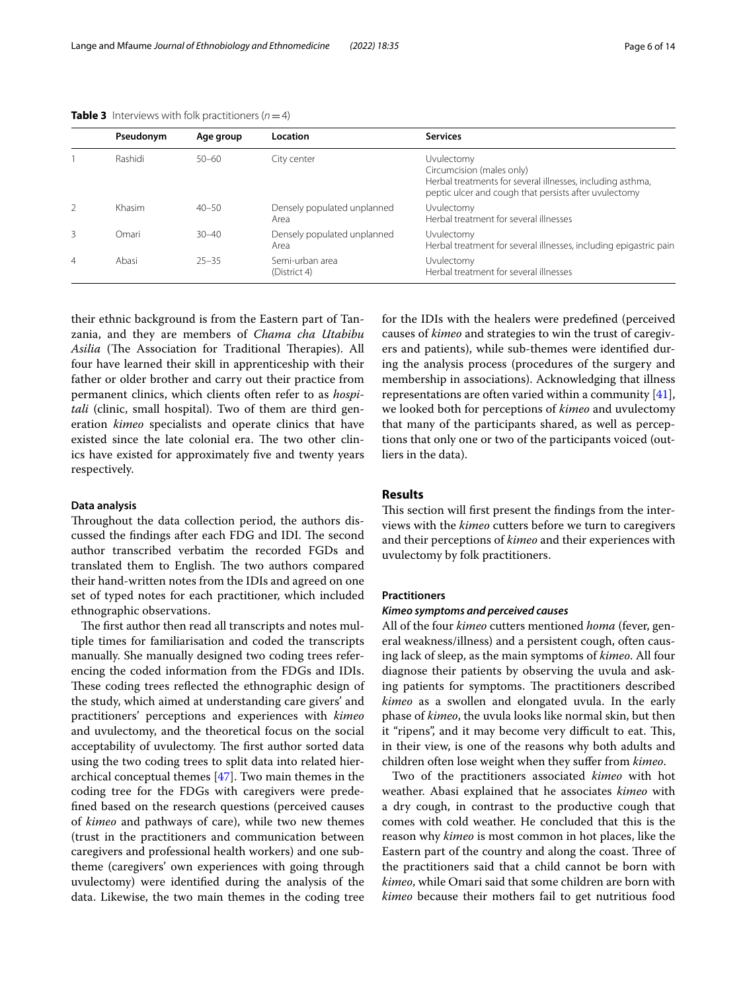|                | Pseudonym | Age group | Location                            | <b>Services</b>                                                                                                                                                |
|----------------|-----------|-----------|-------------------------------------|----------------------------------------------------------------------------------------------------------------------------------------------------------------|
|                | Rashidi   | $50 - 60$ | City center                         | Uvulectomy<br>Circumcision (males only)<br>Herbal treatments for several illnesses, including asthma,<br>peptic ulcer and cough that persists after uvulectomy |
| $\mathcal{P}$  | Khasim    | $40 - 50$ | Densely populated unplanned<br>Area | Uvulectomy<br>Herbal treatment for several illnesses                                                                                                           |
| 3              | Omari     | $30 - 40$ | Densely populated unplanned<br>Area | Uvulectomy<br>Herbal treatment for several illnesses, including epigastric pain                                                                                |
| $\overline{4}$ | Abasi     | $25 - 35$ | Semi-urban area<br>(District 4)     | Uvulectomy<br>Herbal treatment for several illnesses                                                                                                           |

<span id="page-5-0"></span>**Table 3** Interviews with folk practitioners  $(n=4)$ 

their ethnic background is from the Eastern part of Tanzania, and they are members of *Chama cha Utabibu*  Asilia (The Association for Traditional Therapies). All four have learned their skill in apprenticeship with their father or older brother and carry out their practice from permanent clinics, which clients often refer to as *hospitali* (clinic, small hospital). Two of them are third generation *kimeo* specialists and operate clinics that have existed since the late colonial era. The two other clinics have existed for approximately fve and twenty years respectively.

#### **Data analysis**

Throughout the data collection period, the authors discussed the findings after each FDG and IDI. The second author transcribed verbatim the recorded FGDs and translated them to English. The two authors compared their hand-written notes from the IDIs and agreed on one set of typed notes for each practitioner, which included ethnographic observations.

The first author then read all transcripts and notes multiple times for familiarisation and coded the transcripts manually. She manually designed two coding trees referencing the coded information from the FDGs and IDIs. These coding trees reflected the ethnographic design of the study, which aimed at understanding care givers' and practitioners' perceptions and experiences with *kimeo* and uvulectomy, and the theoretical focus on the social acceptability of uvulectomy. The first author sorted data using the two coding trees to split data into related hierarchical conceptual themes [[47](#page-13-23)]. Two main themes in the coding tree for the FDGs with caregivers were predefned based on the research questions (perceived causes of *kimeo* and pathways of care), while two new themes (trust in the practitioners and communication between caregivers and professional health workers) and one subtheme (caregivers' own experiences with going through uvulectomy) were identifed during the analysis of the data. Likewise, the two main themes in the coding tree for the IDIs with the healers were predefned (perceived causes of *kimeo* and strategies to win the trust of caregivers and patients), while sub-themes were identifed during the analysis process (procedures of the surgery and membership in associations). Acknowledging that illness representations are often varied within a community [\[41](#page-13-18)], we looked both for perceptions of *kimeo* and uvulectomy that many of the participants shared, as well as perceptions that only one or two of the participants voiced (outliers in the data).

## **Results**

This section will first present the findings from the interviews with the *kimeo* cutters before we turn to caregivers and their perceptions of *kimeo* and their experiences with uvulectomy by folk practitioners.

## **Practitioners**

#### *Kimeo symptoms and perceived causes*

All of the four *kimeo* cutters mentioned *homa* (fever, general weakness/illness) and a persistent cough, often causing lack of sleep, as the main symptoms of *kimeo*. All four diagnose their patients by observing the uvula and asking patients for symptoms. The practitioners described *kimeo* as a swollen and elongated uvula. In the early phase of *kimeo*, the uvula looks like normal skin, but then it "ripens", and it may become very difficult to eat. This, in their view, is one of the reasons why both adults and children often lose weight when they sufer from *kimeo*.

Two of the practitioners associated *kimeo* with hot weather. Abasi explained that he associates *kimeo* with a dry cough, in contrast to the productive cough that comes with cold weather. He concluded that this is the reason why *kimeo* is most common in hot places, like the Eastern part of the country and along the coast. Three of the practitioners said that a child cannot be born with *kimeo*, while Omari said that some children are born with *kimeo* because their mothers fail to get nutritious food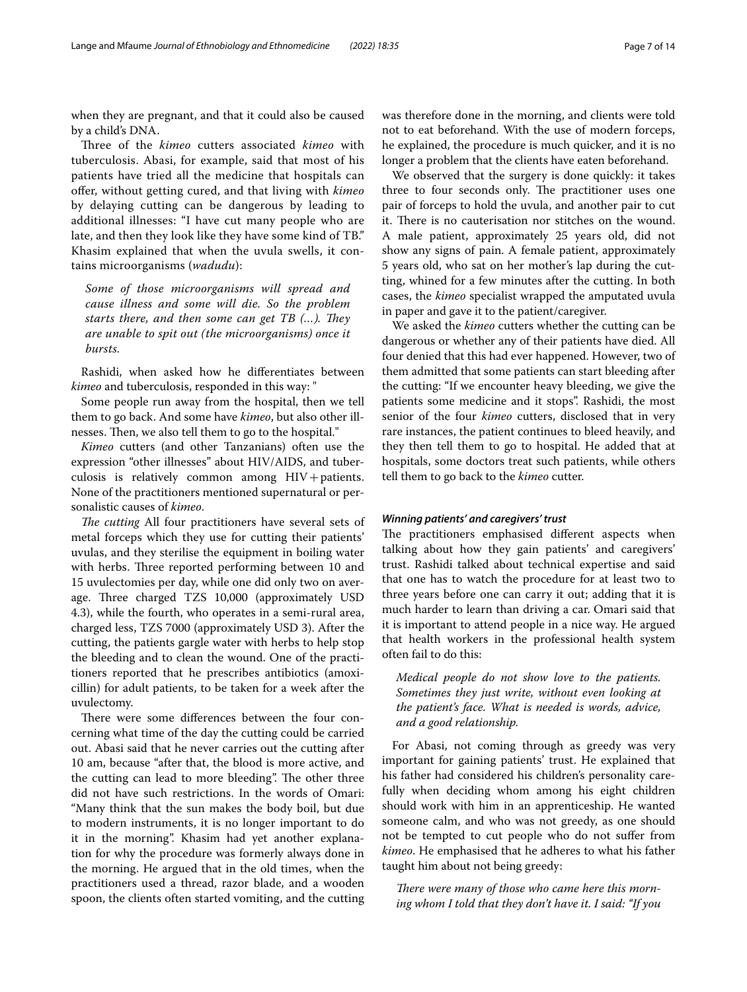when they are pregnant, and that it could also be caused by a child's DNA.

Three of the *kimeo* cutters associated *kimeo* with tuberculosis. Abasi, for example, said that most of his patients have tried all the medicine that hospitals can ofer, without getting cured, and that living with *kimeo* by delaying cutting can be dangerous by leading to additional illnesses: "I have cut many people who are late, and then they look like they have some kind of TB." Khasim explained that when the uvula swells, it contains microorganisms (*wadudu*):

*Some of those microorganisms will spread and cause illness and some will die. So the problem starts there, and then some can get TB (...). They are unable to spit out (the microorganisms) once it bursts.*

Rashidi, when asked how he diferentiates between *kimeo* and tuberculosis, responded in this way: "

Some people run away from the hospital, then we tell them to go back. And some have *kimeo*, but also other illnesses. Then, we also tell them to go to the hospital."

*Kimeo* cutters (and other Tanzanians) often use the expression "other illnesses" about HIV/AIDS, and tuberculosis is relatively common among  $HIV+$  patients. None of the practitioners mentioned supernatural or personalistic causes of *kimeo*.

*The cutting* All four practitioners have several sets of metal forceps which they use for cutting their patients' uvulas, and they sterilise the equipment in boiling water with herbs. Three reported performing between 10 and 15 uvulectomies per day, while one did only two on average. Three charged TZS 10,000 (approximately USD 4.3), while the fourth, who operates in a semi-rural area, charged less, TZS 7000 (approximately USD 3). After the cutting, the patients gargle water with herbs to help stop the bleeding and to clean the wound. One of the practitioners reported that he prescribes antibiotics (amoxicillin) for adult patients, to be taken for a week after the uvulectomy.

There were some differences between the four concerning what time of the day the cutting could be carried out. Abasi said that he never carries out the cutting after 10 am, because "after that, the blood is more active, and the cutting can lead to more bleeding". The other three did not have such restrictions. In the words of Omari: "Many think that the sun makes the body boil, but due to modern instruments, it is no longer important to do it in the morning". Khasim had yet another explanation for why the procedure was formerly always done in the morning. He argued that in the old times, when the practitioners used a thread, razor blade, and a wooden spoon, the clients often started vomiting, and the cutting was therefore done in the morning, and clients were told not to eat beforehand. With the use of modern forceps, he explained, the procedure is much quicker, and it is no longer a problem that the clients have eaten beforehand.

We observed that the surgery is done quickly: it takes three to four seconds only. The practitioner uses one pair of forceps to hold the uvula, and another pair to cut it. There is no cauterisation nor stitches on the wound. A male patient, approximately 25 years old, did not show any signs of pain. A female patient, approximately 5 years old, who sat on her mother's lap during the cutting, whined for a few minutes after the cutting. In both cases, the *kimeo* specialist wrapped the amputated uvula in paper and gave it to the patient/caregiver.

We asked the *kimeo* cutters whether the cutting can be dangerous or whether any of their patients have died. All four denied that this had ever happened. However, two of them admitted that some patients can start bleeding after the cutting: "If we encounter heavy bleeding, we give the patients some medicine and it stops". Rashidi, the most senior of the four *kimeo* cutters, disclosed that in very rare instances, the patient continues to bleed heavily, and they then tell them to go to hospital. He added that at hospitals, some doctors treat such patients, while others tell them to go back to the *kimeo* cutter.

#### *Winning patients' and caregivers' trust*

The practitioners emphasised different aspects when talking about how they gain patients' and caregivers' trust. Rashidi talked about technical expertise and said that one has to watch the procedure for at least two to three years before one can carry it out; adding that it is much harder to learn than driving a car. Omari said that it is important to attend people in a nice way. He argued that health workers in the professional health system often fail to do this:

*Medical people do not show love to the patients. Sometimes they just write, without even looking at the patient's face. What is needed is words, advice, and a good relationship.*

For Abasi, not coming through as greedy was very important for gaining patients' trust. He explained that his father had considered his children's personality carefully when deciding whom among his eight children should work with him in an apprenticeship. He wanted someone calm, and who was not greedy, as one should not be tempted to cut people who do not sufer from *kimeo*. He emphasised that he adheres to what his father taught him about not being greedy:

There were many of those who came here this morn*ing whom I told that they don't have it. I said: "If you*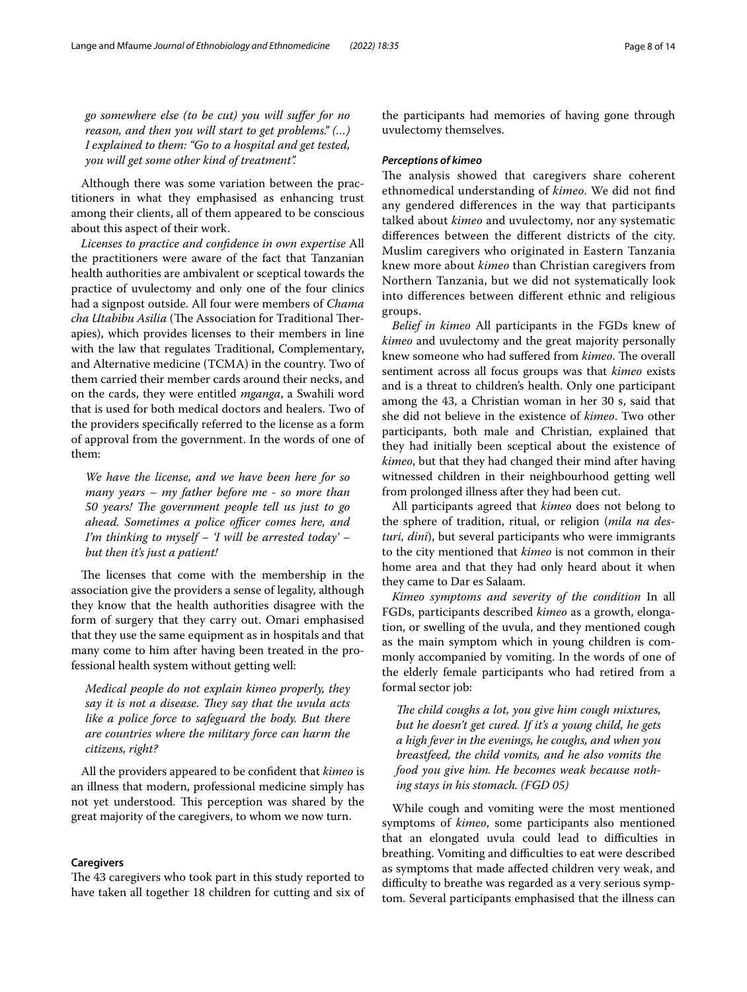*go somewhere else (to be cut) you will sufer for no reason, and then you will start to get problems." (…) I explained to them: "Go to a hospital and get tested, you will get some other kind of treatment".*

Although there was some variation between the practitioners in what they emphasised as enhancing trust among their clients, all of them appeared to be conscious about this aspect of their work.

*Licenses to practice and confdence in own expertise* All the practitioners were aware of the fact that Tanzanian health authorities are ambivalent or sceptical towards the practice of uvulectomy and only one of the four clinics had a signpost outside. All four were members of *Chama cha Utabibu Asilia* (The Association for Traditional Therapies), which provides licenses to their members in line with the law that regulates Traditional, Complementary, and Alternative medicine (TCMA) in the country. Two of them carried their member cards around their necks, and on the cards, they were entitled *mganga*, a Swahili word that is used for both medical doctors and healers. Two of the providers specifcally referred to the license as a form of approval from the government. In the words of one of them:

*We have the license, and we have been here for so many years – my father before me - so more than 50 years! The government people tell us just to go ahead. Sometimes a police officer comes here, and I'm thinking to myself – 'I will be arrested today' – but then it's just a patient!*

The licenses that come with the membership in the association give the providers a sense of legality, although they know that the health authorities disagree with the form of surgery that they carry out. Omari emphasised that they use the same equipment as in hospitals and that many come to him after having been treated in the professional health system without getting well:

*Medical people do not explain kimeo properly, they say it is not a disease. They say that the uvula acts like a police force to safeguard the body. But there are countries where the military force can harm the citizens, right?*

All the providers appeared to be confdent that *kimeo* is an illness that modern, professional medicine simply has not yet understood. This perception was shared by the great majority of the caregivers, to whom we now turn.

## **Caregivers**

The 43 caregivers who took part in this study reported to have taken all together 18 children for cutting and six of the participants had memories of having gone through uvulectomy themselves.

#### *Perceptions of kimeo*

The analysis showed that caregivers share coherent ethnomedical understanding of *kimeo*. We did not fnd any gendered diferences in the way that participants talked about *kimeo* and uvulectomy, nor any systematic diferences between the diferent districts of the city. Muslim caregivers who originated in Eastern Tanzania knew more about *kimeo* than Christian caregivers from Northern Tanzania, but we did not systematically look into diferences between diferent ethnic and religious groups.

*Belief in kimeo* All participants in the FGDs knew of *kimeo* and uvulectomy and the great majority personally knew someone who had suffered from *kimeo*. The overall sentiment across all focus groups was that *kimeo* exists and is a threat to children's health. Only one participant among the 43, a Christian woman in her 30 s, said that she did not believe in the existence of *kimeo*. Two other participants, both male and Christian, explained that they had initially been sceptical about the existence of *kimeo*, but that they had changed their mind after having witnessed children in their neighbourhood getting well from prolonged illness after they had been cut.

All participants agreed that *kimeo* does not belong to the sphere of tradition, ritual, or religion (*mila na desturi, dini*), but several participants who were immigrants to the city mentioned that *kimeo* is not common in their home area and that they had only heard about it when they came to Dar es Salaam.

*Kimeo symptoms and severity of the condition* In all FGDs, participants described *kimeo* as a growth, elongation, or swelling of the uvula, and they mentioned cough as the main symptom which in young children is commonly accompanied by vomiting. In the words of one of the elderly female participants who had retired from a formal sector job:

*The child coughs a lot, you give him cough mixtures, but he doesn't get cured. If it's a young child, he gets a high fever in the evenings, he coughs, and when you breastfeed, the child vomits, and he also vomits the food you give him. He becomes weak because nothing stays in his stomach. (FGD 05)*

While cough and vomiting were the most mentioned symptoms of *kimeo*, some participants also mentioned that an elongated uvula could lead to difficulties in breathing. Vomiting and difficulties to eat were described as symptoms that made afected children very weak, and difficulty to breathe was regarded as a very serious symptom. Several participants emphasised that the illness can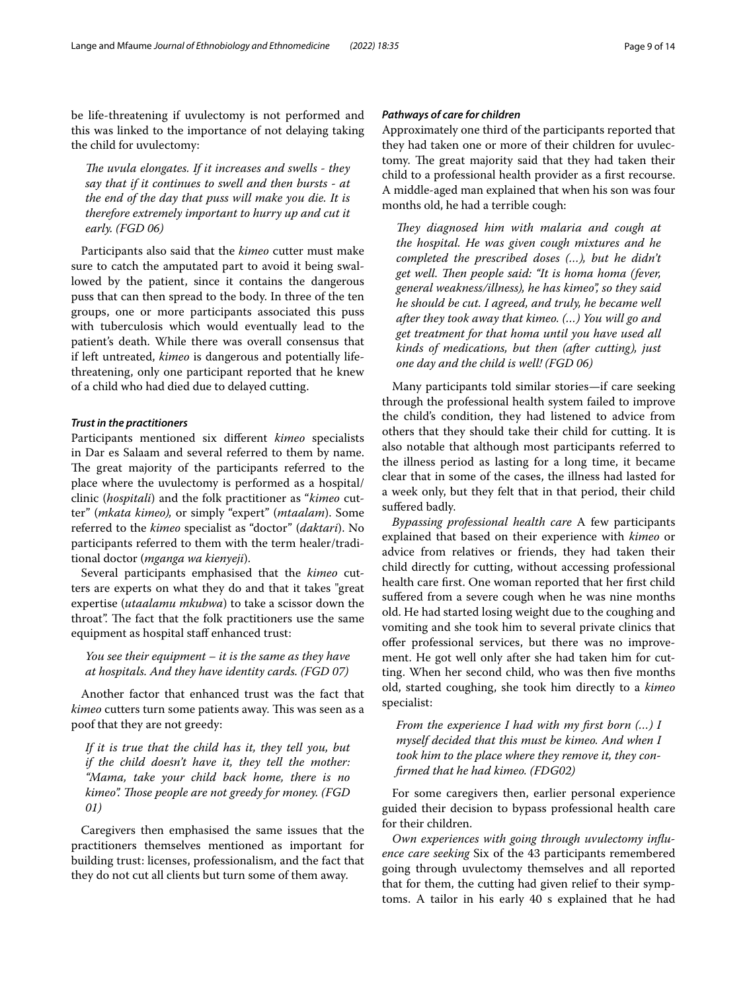be life-threatening if uvulectomy is not performed and this was linked to the importance of not delaying taking the child for uvulectomy:

*The uvula elongates. If it increases and swells - they say that if it continues to swell and then bursts - at the end of the day that puss will make you die. It is therefore extremely important to hurry up and cut it early. (FGD 06)*

Participants also said that the *kimeo* cutter must make sure to catch the amputated part to avoid it being swallowed by the patient, since it contains the dangerous puss that can then spread to the body. In three of the ten groups, one or more participants associated this puss with tuberculosis which would eventually lead to the patient's death. While there was overall consensus that if left untreated, *kimeo* is dangerous and potentially lifethreatening, only one participant reported that he knew of a child who had died due to delayed cutting.

## *Trust in the practitioners*

Participants mentioned six diferent *kimeo* specialists in Dar es Salaam and several referred to them by name. The great majority of the participants referred to the place where the uvulectomy is performed as a hospital/ clinic (*hospitali*) and the folk practitioner as "*kimeo* cutter" (*mkata kimeo),* or simply "expert" (*mtaalam*). Some referred to the *kimeo* specialist as "doctor" (*daktari*). No participants referred to them with the term healer/traditional doctor (*mganga wa kienyeji*).

Several participants emphasised that the *kimeo* cutters are experts on what they do and that it takes "great expertise (*utaalamu mkubwa*) to take a scissor down the throat". The fact that the folk practitioners use the same equipment as hospital staff enhanced trust:

*You see their equipment – it is the same as they have at hospitals. And they have identity cards. (FGD 07)*

Another factor that enhanced trust was the fact that *kimeo* cutters turn some patients away. This was seen as a poof that they are not greedy:

*If it is true that the child has it, they tell you, but if the child doesn't have it, they tell the mother: "Mama, take your child back home, there is no kimeo". Tose people are not greedy for money. (FGD 01)*

Caregivers then emphasised the same issues that the practitioners themselves mentioned as important for building trust: licenses, professionalism, and the fact that they do not cut all clients but turn some of them away.

## *Pathways of care for children*

Approximately one third of the participants reported that they had taken one or more of their children for uvulectomy. The great majority said that they had taken their child to a professional health provider as a frst recourse. A middle-aged man explained that when his son was four months old, he had a terrible cough:

*They diagnosed him with malaria and cough at the hospital. He was given cough mixtures and he completed the prescribed doses (…), but he didn't get well. Then people said: "It is homa homa (fever, general weakness/illness), he has kimeo", so they said he should be cut. I agreed, and truly, he became well after they took away that kimeo. (…) You will go and get treatment for that homa until you have used all kinds of medications, but then (after cutting), just one day and the child is well! (FGD 06)*

Many participants told similar stories—if care seeking through the professional health system failed to improve the child's condition, they had listened to advice from others that they should take their child for cutting. It is also notable that although most participants referred to the illness period as lasting for a long time, it became clear that in some of the cases, the illness had lasted for a week only, but they felt that in that period, their child sufered badly.

*Bypassing professional health care* A few participants explained that based on their experience with *kimeo* or advice from relatives or friends, they had taken their child directly for cutting, without accessing professional health care frst. One woman reported that her frst child sufered from a severe cough when he was nine months old. He had started losing weight due to the coughing and vomiting and she took him to several private clinics that offer professional services, but there was no improvement. He got well only after she had taken him for cutting. When her second child, who was then fve months old, started coughing, she took him directly to a *kimeo* specialist:

*From the experience I had with my frst born (…) I myself decided that this must be kimeo. And when I took him to the place where they remove it, they confrmed that he had kimeo. (FDG02)*

For some caregivers then, earlier personal experience guided their decision to bypass professional health care for their children.

*Own experiences with going through uvulectomy infuence care seeking* Six of the 43 participants remembered going through uvulectomy themselves and all reported that for them, the cutting had given relief to their symptoms. A tailor in his early 40 s explained that he had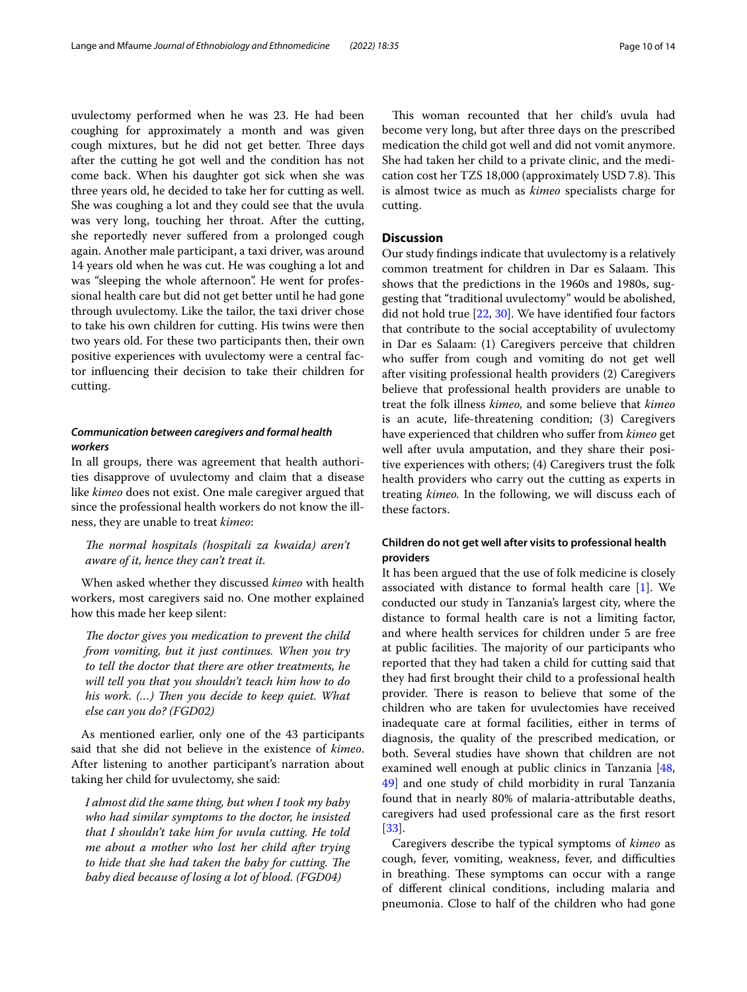uvulectomy performed when he was 23. He had been coughing for approximately a month and was given cough mixtures, but he did not get better. Three days after the cutting he got well and the condition has not come back. When his daughter got sick when she was three years old, he decided to take her for cutting as well. She was coughing a lot and they could see that the uvula was very long, touching her throat. After the cutting, she reportedly never sufered from a prolonged cough again. Another male participant, a taxi driver, was around 14 years old when he was cut. He was coughing a lot and was "sleeping the whole afternoon". He went for professional health care but did not get better until he had gone through uvulectomy. Like the tailor, the taxi driver chose to take his own children for cutting. His twins were then two years old. For these two participants then, their own positive experiences with uvulectomy were a central factor infuencing their decision to take their children for cutting.

## *Communication between caregivers and formal health workers*

In all groups, there was agreement that health authorities disapprove of uvulectomy and claim that a disease like *kimeo* does not exist. One male caregiver argued that since the professional health workers do not know the illness, they are unable to treat *kimeo*:

The normal hospitals (hospitali za kwaida) aren't *aware of it, hence they can't treat it.*

When asked whether they discussed *kimeo* with health workers, most caregivers said no. One mother explained how this made her keep silent:

The doctor gives you medication to prevent the child *from vomiting, but it just continues. When you try to tell the doctor that there are other treatments, he will tell you that you shouldn't teach him how to do his work.* (...) Then you decide to keep quiet. What *else can you do? (FGD02)*

As mentioned earlier, only one of the 43 participants said that she did not believe in the existence of *kimeo*. After listening to another participant's narration about taking her child for uvulectomy, she said:

*I almost did the same thing, but when I took my baby who had similar symptoms to the doctor, he insisted that I shouldn't take him for uvula cutting. He told me about a mother who lost her child after trying*  to hide that she had taken the baby for cutting. The *baby died because of losing a lot of blood. (FGD04)*

This woman recounted that her child's uvula had become very long, but after three days on the prescribed medication the child got well and did not vomit anymore. She had taken her child to a private clinic, and the medication cost her TZS 18,000 (approximately USD 7.8). This is almost twice as much as *kimeo* specialists charge for cutting.

## **Discussion**

Our study fndings indicate that uvulectomy is a relatively common treatment for children in Dar es Salaam. This shows that the predictions in the 1960s and 1980s, suggesting that "traditional uvulectomy" would be abolished, did not hold true [\[22,](#page-13-0) [30](#page-13-8)]. We have identifed four factors that contribute to the social acceptability of uvulectomy in Dar es Salaam: (1) Caregivers perceive that children who sufer from cough and vomiting do not get well after visiting professional health providers (2) Caregivers believe that professional health providers are unable to treat the folk illness *kimeo,* and some believe that *kimeo* is an acute, life-threatening condition; (3) Caregivers have experienced that children who sufer from *kimeo* get well after uvula amputation, and they share their positive experiences with others; (4) Caregivers trust the folk health providers who carry out the cutting as experts in treating *kimeo.* In the following, we will discuss each of these factors.

## **Children do not get well after visits to professional health providers**

It has been argued that the use of folk medicine is closely associated with distance to formal health care [\[1](#page-12-0)]. We conducted our study in Tanzania's largest city, where the distance to formal health care is not a limiting factor, and where health services for children under 5 are free at public facilities. The majority of our participants who reported that they had taken a child for cutting said that they had frst brought their child to a professional health provider. There is reason to believe that some of the children who are taken for uvulectomies have received inadequate care at formal facilities, either in terms of diagnosis, the quality of the prescribed medication, or both. Several studies have shown that children are not examined well enough at public clinics in Tanzania [[48](#page-13-24), [49\]](#page-13-25) and one study of child morbidity in rural Tanzania found that in nearly 80% of malaria-attributable deaths, caregivers had used professional care as the frst resort [[33\]](#page-13-11).

Caregivers describe the typical symptoms of *kimeo* as cough, fever, vomiting, weakness, fever, and difficulties in breathing. These symptoms can occur with a range of diferent clinical conditions, including malaria and pneumonia. Close to half of the children who had gone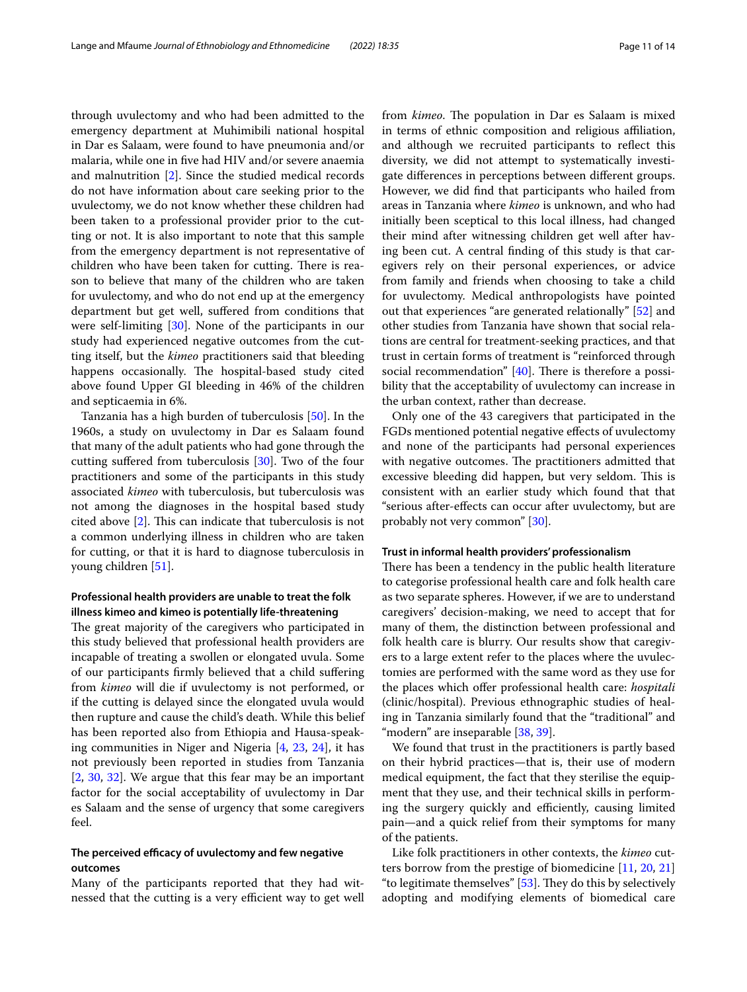through uvulectomy and who had been admitted to the emergency department at Muhimibili national hospital in Dar es Salaam, were found to have pneumonia and/or malaria, while one in fve had HIV and/or severe anaemia and malnutrition [\[2](#page-12-1)]. Since the studied medical records do not have information about care seeking prior to the uvulectomy, we do not know whether these children had been taken to a professional provider prior to the cutting or not. It is also important to note that this sample from the emergency department is not representative of children who have been taken for cutting. There is reason to believe that many of the children who are taken for uvulectomy, and who do not end up at the emergency department but get well, sufered from conditions that were self-limiting [[30\]](#page-13-8). None of the participants in our study had experienced negative outcomes from the cutting itself, but the *kimeo* practitioners said that bleeding happens occasionally. The hospital-based study cited above found Upper GI bleeding in 46% of the children and septicaemia in 6%.

Tanzania has a high burden of tuberculosis [[50\]](#page-13-26). In the 1960s, a study on uvulectomy in Dar es Salaam found that many of the adult patients who had gone through the cutting sufered from tuberculosis [\[30](#page-13-8)]. Two of the four practitioners and some of the participants in this study associated *kimeo* with tuberculosis, but tuberculosis was not among the diagnoses in the hospital based study cited above  $[2]$  $[2]$  $[2]$ . This can indicate that tuberculosis is not a common underlying illness in children who are taken for cutting, or that it is hard to diagnose tuberculosis in young children [\[51](#page-13-27)].

## **Professional health providers are unable to treat the folk illness kimeo and kimeo is potentially life‑threatening**

The great majority of the caregivers who participated in this study believed that professional health providers are incapable of treating a swollen or elongated uvula. Some of our participants frmly believed that a child sufering from *kimeo* will die if uvulectomy is not performed, or if the cutting is delayed since the elongated uvula would then rupture and cause the child's death. While this belief has been reported also from Ethiopia and Hausa-speaking communities in Niger and Nigeria [[4,](#page-12-9) [23](#page-13-1), [24\]](#page-13-2), it has not previously been reported in studies from Tanzania [[2,](#page-12-1) [30](#page-13-8), [32](#page-13-10)]. We argue that this fear may be an important factor for the social acceptability of uvulectomy in Dar es Salaam and the sense of urgency that some caregivers feel.

## The perceived efficacy of uvulectomy and few negative **outcomes**

Many of the participants reported that they had witnessed that the cutting is a very efficient way to get well from *kimeo*. The population in Dar es Salaam is mixed in terms of ethnic composition and religious afliation, and although we recruited participants to refect this diversity, we did not attempt to systematically investigate diferences in perceptions between diferent groups. However, we did fnd that participants who hailed from areas in Tanzania where *kimeo* is unknown, and who had initially been sceptical to this local illness, had changed their mind after witnessing children get well after having been cut. A central fnding of this study is that caregivers rely on their personal experiences, or advice from family and friends when choosing to take a child for uvulectomy. Medical anthropologists have pointed out that experiences "are generated relationally" [[52\]](#page-13-28) and other studies from Tanzania have shown that social relations are central for treatment-seeking practices, and that trust in certain forms of treatment is "reinforced through social recommendation"  $[40]$  $[40]$ . There is therefore a possibility that the acceptability of uvulectomy can increase in the urban context, rather than decrease.

Only one of the 43 caregivers that participated in the FGDs mentioned potential negative efects of uvulectomy and none of the participants had personal experiences with negative outcomes. The practitioners admitted that excessive bleeding did happen, but very seldom. This is consistent with an earlier study which found that that "serious after-efects can occur after uvulectomy, but are probably not very common" [\[30](#page-13-8)].

#### **Trust in informal health providers' professionalism**

There has been a tendency in the public health literature to categorise professional health care and folk health care as two separate spheres. However, if we are to understand caregivers' decision-making, we need to accept that for many of them, the distinction between professional and folk health care is blurry. Our results show that caregivers to a large extent refer to the places where the uvulectomies are performed with the same word as they use for the places which ofer professional health care: *hospitali* (clinic/hospital). Previous ethnographic studies of healing in Tanzania similarly found that the "traditional" and "modern" are inseparable [\[38](#page-13-16), [39\]](#page-13-29).

We found that trust in the practitioners is partly based on their hybrid practices—that is, their use of modern medical equipment, the fact that they sterilise the equipment that they use, and their technical skills in performing the surgery quickly and efficiently, causing limited pain—and a quick relief from their symptoms for many of the patients.

Like folk practitioners in other contexts, the *kimeo* cutters borrow from the prestige of biomedicine [\[11,](#page-12-5) [20,](#page-12-15) [21](#page-12-16)] "to legitimate themselves"  $[53]$  $[53]$  $[53]$ . They do this by selectively adopting and modifying elements of biomedical care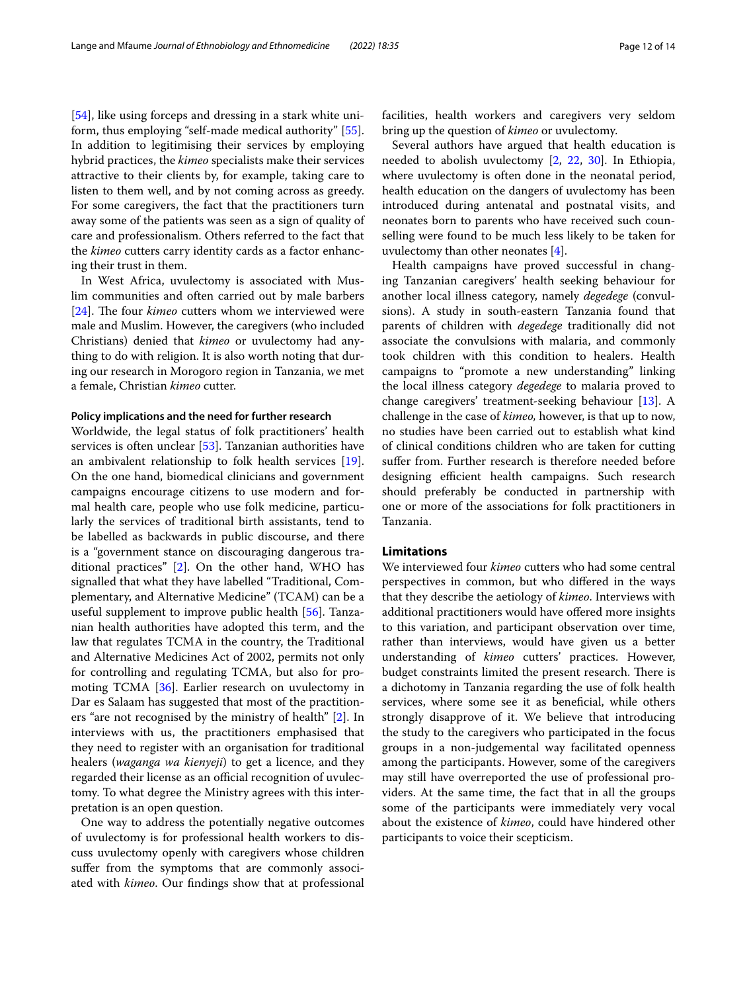[[54\]](#page-13-31), like using forceps and dressing in a stark white uniform, thus employing "self-made medical authority" [\[55](#page-13-32)]. In addition to legitimising their services by employing hybrid practices, the *kimeo* specialists make their services attractive to their clients by, for example, taking care to listen to them well, and by not coming across as greedy. For some caregivers, the fact that the practitioners turn away some of the patients was seen as a sign of quality of care and professionalism. Others referred to the fact that the *kimeo* cutters carry identity cards as a factor enhancing their trust in them.

In West Africa, uvulectomy is associated with Muslim communities and often carried out by male barbers [[24\]](#page-13-2). The four *kimeo* cutters whom we interviewed were male and Muslim. However, the caregivers (who included Christians) denied that *kimeo* or uvulectomy had anything to do with religion. It is also worth noting that during our research in Morogoro region in Tanzania, we met a female, Christian *kimeo* cutter.

## **Policy implications and the need for further research**

Worldwide, the legal status of folk practitioners' health services is often unclear [[53](#page-13-30)]. Tanzanian authorities have an ambivalent relationship to folk health services [\[19](#page-12-14)]. On the one hand, biomedical clinicians and government campaigns encourage citizens to use modern and formal health care, people who use folk medicine, particularly the services of traditional birth assistants, tend to be labelled as backwards in public discourse, and there is a "government stance on discouraging dangerous traditional practices" [\[2](#page-12-1)]. On the other hand, WHO has signalled that what they have labelled "Traditional, Complementary, and Alternative Medicine" (TCAM) can be a useful supplement to improve public health [\[56\]](#page-13-33). Tanzanian health authorities have adopted this term, and the law that regulates TCMA in the country, the Traditional and Alternative Medicines Act of 2002, permits not only for controlling and regulating TCMA, but also for promoting TCMA [[36\]](#page-13-14). Earlier research on uvulectomy in Dar es Salaam has suggested that most of the practitioners "are not recognised by the ministry of health" [\[2](#page-12-1)]. In interviews with us, the practitioners emphasised that they need to register with an organisation for traditional healers (*waganga wa kienyeji*) to get a licence, and they regarded their license as an official recognition of uvulectomy. To what degree the Ministry agrees with this interpretation is an open question.

One way to address the potentially negative outcomes of uvulectomy is for professional health workers to discuss uvulectomy openly with caregivers whose children suffer from the symptoms that are commonly associated with *kimeo*. Our fndings show that at professional facilities, health workers and caregivers very seldom bring up the question of *kimeo* or uvulectomy*.*

Several authors have argued that health education is needed to abolish uvulectomy [[2,](#page-12-1) [22](#page-13-0), [30\]](#page-13-8). In Ethiopia, where uvulectomy is often done in the neonatal period, health education on the dangers of uvulectomy has been introduced during antenatal and postnatal visits, and neonates born to parents who have received such counselling were found to be much less likely to be taken for uvulectomy than other neonates [\[4\]](#page-12-9).

Health campaigns have proved successful in changing Tanzanian caregivers' health seeking behaviour for another local illness category, namely *degedege* (convulsions). A study in south-eastern Tanzania found that parents of children with *degedege* traditionally did not associate the convulsions with malaria, and commonly took children with this condition to healers. Health campaigns to "promote a new understanding" linking the local illness category *degedege* to malaria proved to change caregivers' treatment-seeking behaviour [\[13\]](#page-12-7). A challenge in the case of *kimeo,* however, is that up to now, no studies have been carried out to establish what kind of clinical conditions children who are taken for cutting sufer from. Further research is therefore needed before designing efficient health campaigns. Such research should preferably be conducted in partnership with one or more of the associations for folk practitioners in Tanzania.

#### **Limitations**

We interviewed four *kimeo* cutters who had some central perspectives in common, but who difered in the ways that they describe the aetiology of *kimeo*. Interviews with additional practitioners would have ofered more insights to this variation, and participant observation over time, rather than interviews, would have given us a better understanding of *kimeo* cutters' practices. However, budget constraints limited the present research. There is a dichotomy in Tanzania regarding the use of folk health services, where some see it as beneficial, while others strongly disapprove of it. We believe that introducing the study to the caregivers who participated in the focus groups in a non-judgemental way facilitated openness among the participants. However, some of the caregivers may still have overreported the use of professional providers. At the same time, the fact that in all the groups some of the participants were immediately very vocal about the existence of *kimeo*, could have hindered other participants to voice their scepticism.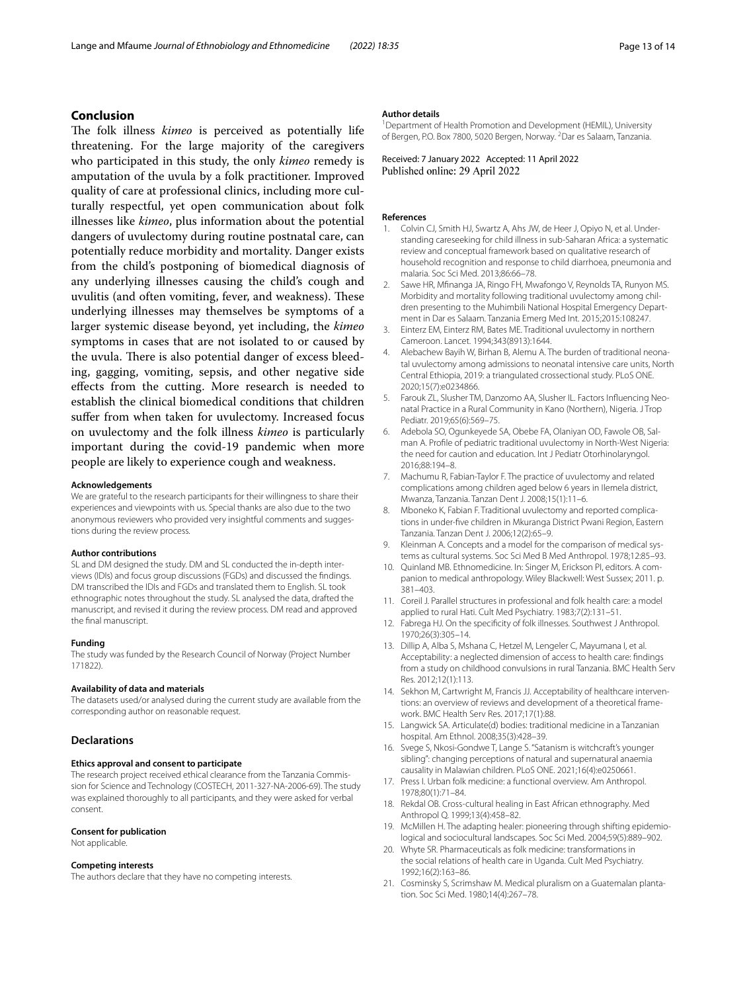## **Conclusion**

The folk illness *kimeo* is perceived as potentially life threatening. For the large majority of the caregivers who participated in this study, the only *kimeo* remedy is amputation of the uvula by a folk practitioner. Improved quality of care at professional clinics, including more culturally respectful, yet open communication about folk illnesses like *kimeo*, plus information about the potential dangers of uvulectomy during routine postnatal care, can potentially reduce morbidity and mortality. Danger exists from the child's postponing of biomedical diagnosis of any underlying illnesses causing the child's cough and uvulitis (and often vomiting, fever, and weakness). These underlying illnesses may themselves be symptoms of a larger systemic disease beyond, yet including, the *kimeo* symptoms in cases that are not isolated to or caused by the uvula. There is also potential danger of excess bleeding, gagging, vomiting, sepsis, and other negative side efects from the cutting. More research is needed to establish the clinical biomedical conditions that children suffer from when taken for uvulectomy. Increased focus on uvulectomy and the folk illness *kimeo* is particularly important during the covid-19 pandemic when more people are likely to experience cough and weakness.

#### **Acknowledgements**

We are grateful to the research participants for their willingness to share their experiences and viewpoints with us. Special thanks are also due to the two anonymous reviewers who provided very insightful comments and suggestions during the review process.

#### **Author contributions**

SL and DM designed the study. DM and SL conducted the in-depth interviews (IDIs) and focus group discussions (FGDs) and discussed the fndings. DM transcribed the IDIs and FGDs and translated them to English. SL took ethnographic notes throughout the study. SL analysed the data, drafted the manuscript, and revised it during the review process. DM read and approved the fnal manuscript.

#### **Funding**

The study was funded by the Research Council of Norway (Project Number 171822).

#### **Availability of data and materials**

The datasets used/or analysed during the current study are available from the corresponding author on reasonable request.

#### **Declarations**

## **Ethics approval and consent to participate**

The research project received ethical clearance from the Tanzania Commission for Science and Technology (COSTECH, 2011-327-NA-2006-69). The study was explained thoroughly to all participants, and they were asked for verbal consent.

## **Consent for publication**

Not applicable.

#### **Competing interests**

The authors declare that they have no competing interests.

#### **Author details**

<sup>1</sup> Department of Health Promotion and Development (HEMIL), University of Bergen, P.O. Box 7800, 5020 Bergen, Norway. <sup>2</sup>Dar es Salaam, Tanzania.

Received: 7 January 2022 Accepted: 11 April 2022 Published online: 29 April 2022

#### **References**

- <span id="page-12-0"></span>1. Colvin CJ, Smith HJ, Swartz A, Ahs JW, de Heer J, Opiyo N, et al. Understanding careseeking for child illness in sub-Saharan Africa: a systematic review and conceptual framework based on qualitative research of household recognition and response to child diarrhoea, pneumonia and malaria. Soc Sci Med. 2013;86:66–78.
- <span id="page-12-1"></span>2. Sawe HR, Mfnanga JA, Ringo FH, Mwafongo V, Reynolds TA, Runyon MS. Morbidity and mortality following traditional uvulectomy among children presenting to the Muhimbili National Hospital Emergency Department in Dar es Salaam. Tanzania Emerg Med Int. 2015;2015:108247.
- 3. Einterz EM, Einterz RM, Bates ME. Traditional uvulectomy in northern Cameroon. Lancet. 1994;343(8913):1644.
- <span id="page-12-9"></span>4. Alebachew Bayih W, Birhan B, Alemu A. The burden of traditional neonatal uvulectomy among admissions to neonatal intensive care units, North Central Ethiopia, 2019: a triangulated crossectional study. PLoS ONE. 2020;15(7):e0234866.
- <span id="page-12-17"></span>5. Farouk ZL, Slusher TM, Danzomo AA, Slusher IL. Factors Infuencing Neonatal Practice in a Rural Community in Kano (Northern), Nigeria. J Trop Pediatr. 2019;65(6):569–75.
- <span id="page-12-19"></span>6. Adebola SO, Ogunkeyede SA, Obebe FA, Olaniyan OD, Fawole OB, Salman A. Profle of pediatric traditional uvulectomy in North-West Nigeria: the need for caution and education. Int J Pediatr Otorhinolaryngol. 2016;88:194–8.
- <span id="page-12-18"></span>7. Machumu R, Fabian-Taylor F. The practice of uvulectomy and related complications among children aged below 6 years in Ilemela district, Mwanza, Tanzania. Tanzan Dent J. 2008;15(1):11–6.
- <span id="page-12-2"></span>8. Mboneko K, Fabian F. Traditional uvulectomy and reported complications in under-fve children in Mkuranga District Pwani Region, Eastern Tanzania. Tanzan Dent J. 2006;12(2):65–9.
- <span id="page-12-3"></span>9. Kleinman A. Concepts and a model for the comparison of medical systems as cultural systems. Soc Sci Med B Med Anthropol. 1978;12:85–93.
- <span id="page-12-4"></span>10. Quinland MB. Ethnomedicine. In: Singer M, Erickson PI, editors. A companion to medical anthropology. Wiley Blackwell: West Sussex; 2011. p. 381–403.
- <span id="page-12-5"></span>11. Coreil J. Parallel structures in professional and folk health care: a model applied to rural Hati. Cult Med Psychiatry. 1983;7(2):131–51.
- <span id="page-12-6"></span>12. Fabrega HJ. On the specifcity of folk illnesses. Southwest J Anthropol. 1970;26(3):305–14.
- <span id="page-12-7"></span>13. Dillip A, Alba S, Mshana C, Hetzel M, Lengeler C, Mayumana I, et al. Acceptability: a neglected dimension of access to health care: fndings from a study on childhood convulsions in rural Tanzania. BMC Health Serv Res. 2012;12(1):113.
- <span id="page-12-8"></span>14. Sekhon M, Cartwright M, Francis JJ. Acceptability of healthcare interventions: an overview of reviews and development of a theoretical framework. BMC Health Serv Res. 2017;17(1):88.
- <span id="page-12-10"></span>15. Langwick SA. Articulate(d) bodies: traditional medicine in a Tanzanian hospital. Am Ethnol. 2008;35(3):428–39.
- <span id="page-12-11"></span>16. Svege S, Nkosi-Gondwe T, Lange S. "Satanism is witchcraft's younger sibling": changing perceptions of natural and supernatural anaemia causality in Malawian children. PLoS ONE. 2021;16(4):e0250661.
- <span id="page-12-12"></span>17. Press I. Urban folk medicine: a functional overview. Am Anthropol. 1978;80(1):71–84.
- <span id="page-12-13"></span>18. Rekdal OB. Cross-cultural healing in East African ethnography. Med Anthropol Q. 1999;13(4):458–82.
- <span id="page-12-14"></span>19. McMillen H. The adapting healer: pioneering through shifting epidemiological and sociocultural landscapes. Soc Sci Med. 2004;59(5):889–902.
- <span id="page-12-15"></span>20. Whyte SR. Pharmaceuticals as folk medicine: transformations in the social relations of health care in Uganda. Cult Med Psychiatry. 1992;16(2):163–86.
- <span id="page-12-16"></span>21. Cosminsky S, Scrimshaw M. Medical pluralism on a Guatemalan plantation. Soc Sci Med. 1980;14(4):267–78.